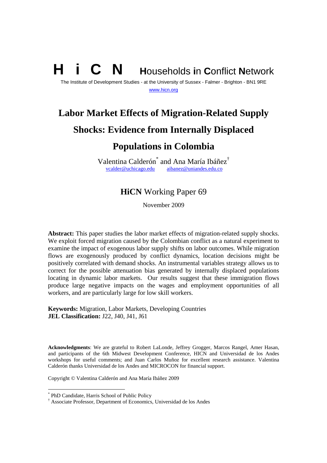# **N** Households in Conflict Network

The Institute of Development Studies - at the University of Sussex - Falmer - Brighton - BN1 9RE www.hicn.org

## **Labor Market Effects of Migration-Related Supply**

## **Shocks: Evidence from Internally Displaced**

## **Populations in Colombia**

Valentina Calderón $^*$  and Ana María Ibáñez $^{\dagger}$ vcalder@uchicago.edu aibanez@uniandes.edu.co

## **HiCN** Working Paper 69

November 2009

**Abstract:** This paper studies the labor market effects of migration-related supply shocks. We exploit forced migration caused by the Colombian conflict as a natural experiment to examine the impact of exogenous labor supply shifts on labor outcomes. While migration flows are exogenously produced by conflict dynamics, location decisions might be positively correlated with demand shocks. An instrumental variables strategy allows us to correct for the possible attenuation bias generated by internally displaced populations locating in dynamic labor markets. Our results suggest that these immigration flows produce large negative impacts on the wages and employment opportunities of all workers, and are particularly large for low skill workers.

**Keywords:** Migration, Labor Markets, Developing Countries **JEL Classification:** J22, J40, J41, J61

**Acknowledgments**: We are grateful to Robert LaLonde, Jeffrey Grogger, Marcos Rangel, Amer Hasan, and participants of the 6th Midwest Development Conference, HICN and Universidad de los Andes workshops for useful comments; and Juan Carlos Muñoz for excellent research assistance. Valentina Calderón thanks Universidad de los Andes and MICROCON for financial support.

Copyright © Valentina Calderón and Ana María Ibáñez 2009

<sup>\*</sup> PhD Candidate, Harris School of Public Policy

<sup>†</sup> Associate Professor, Department of Economics, Universidad de los Andes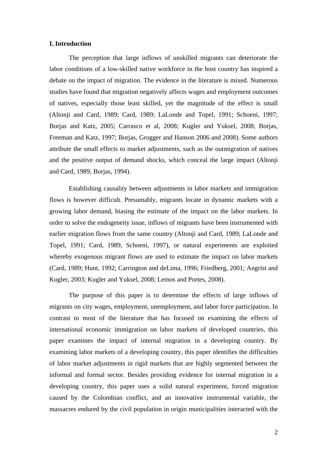#### **I. Introduction**

The perception that large inflows of unskilled migrants can deteriorate the labor conditions of a low-skilled native workforce in the host country has inspired a debate on the impact of migration. The evidence in the literature is mixed. Numerous studies have found that migration negatively affects wages and employment outcomes of natives, especially those least skilled, yet the magnitude of the effect is small (Altonji and Card, 1989; Card, 1989; LaLonde and Topel, 1991; Schoeni, 1997; Borjas and Katz, 2005; Carrasco et al, 2008; Kugler and Yuksel, 2008; Borjas, Freeman and Katz, 1997; Borjas, Grogger and Hanson 2006 and 2008). Some authors attribute the small effects to market adjustments, such as the outmigration of natives and the positive output of demand shocks, which conceal the large impact (Altonji and Card, 1989; Borjas, 1994).

Establishing causality between adjustments in labor markets and immigration flows is however difficult. Presumably, migrants locate in dynamic markets with a growing labor demand, biasing the estimate of the impact on the labor markets. In order to solve the endogeneity issue, inflows of migrants have been instrumented with earlier migration flows from the same country (Altonji and Card, 1989; LaLonde and Topel, 1991; Card, 1989, Schoeni, 1997), or natural experiments are exploited whereby exogenous migrant flows are used to estimate the impact on labor markets (Card, 1989; Hunt, 1992; Carrington and deLima, 1996; Friedberg, 2001; Angrist and Kugler, 2003; Kugler and Yuksel, 2008; Lemos and Portes, 2008).

The purpose of this paper is to determine the effects of large inflows of migrants on city wages, employment, unemployment, and labor force participation. In contrast to most of the literature that has focused on examining the effects of international economic immigration on labor markets of developed countries, this paper examines the impact of internal migration in a developing country. By examining labor markets of a developing country, this paper identifies the difficulties of labor market adjustments in rigid markets that are highly segmented between the informal and formal sector. Besides providing evidence for internal migration in a developing country, this paper uses a solid natural experiment, forced migration caused by the Colombian conflict, and an innovative instrumental variable, the massacres endured by the civil population in origin municipalities interacted with the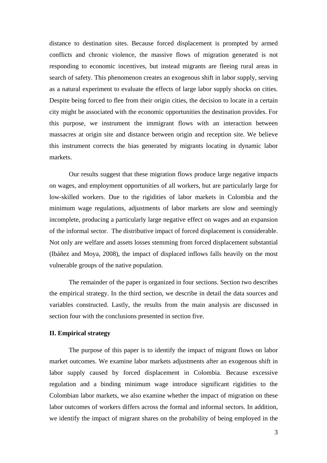distance to destination sites. Because forced displacement is prompted by armed conflicts and chronic violence, the massive flows of migration generated is not responding to economic incentives, but instead migrants are fleeing rural areas in search of safety. This phenomenon creates an exogenous shift in labor supply, serving as a natural experiment to evaluate the effects of large labor supply shocks on cities. Despite being forced to flee from their origin cities, the decision to locate in a certain city might be associated with the economic opportunities the destination provides. For this purpose, we instrument the immigrant flows with an interaction between massacres at origin site and distance between origin and reception site. We believe this instrument corrects the bias generated by migrants locating in dynamic labor markets.

Our results suggest that these migration flows produce large negative impacts on wages, and employment opportunities of all workers, but are particularly large for low-skilled workers. Due to the rigidities of labor markets in Colombia and the minimum wage regulations, adjustments of labor markets are slow and seemingly incomplete, producing a particularly large negative effect on wages and an expansion of the informal sector. The distributive impact of forced displacement is considerable. Not only are welfare and assets losses stemming from forced displacement substantial (Ibáñez and Moya, 2008), the impact of displaced inflows falls heavily on the most vulnerable groups of the native population.

The remainder of the paper is organized in four sections. Section two describes the empirical strategy. In the third section, we describe in detail the data sources and variables constructed. Lastly, the results from the main analysis are discussed in section four with the conclusions presented in section five.

#### **II. Empirical strategy**

The purpose of this paper is to identify the impact of migrant flows on labor market outcomes. We examine labor markets adjustments after an exogenous shift in labor supply caused by forced displacement in Colombia. Because excessive regulation and a binding minimum wage introduce significant rigidities to the Colombian labor markets, we also examine whether the impact of migration on these labor outcomes of workers differs across the formal and informal sectors. In addition, we identify the impact of migrant shares on the probability of being employed in the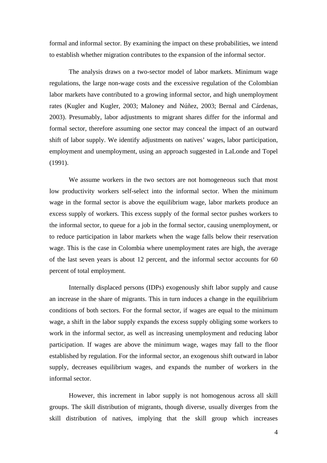formal and informal sector. By examining the impact on these probabilities, we intend to establish whether migration contributes to the expansion of the informal sector.

The analysis draws on a two-sector model of labor markets. Minimum wage regulations, the large non-wage costs and the excessive regulation of the Colombian labor markets have contributed to a growing informal sector, and high unemployment rates (Kugler and Kugler, 2003; Maloney and Núñez, 2003; Bernal and Cárdenas, 2003). Presumably, labor adjustments to migrant shares differ for the informal and formal sector, therefore assuming one sector may conceal the impact of an outward shift of labor supply. We identify adjustments on natives' wages, labor participation, employment and unemployment, using an approach suggested in LaLonde and Topel (1991).

We assume workers in the two sectors are not homogeneous such that most low productivity workers self-select into the informal sector. When the minimum wage in the formal sector is above the equilibrium wage, labor markets produce an excess supply of workers. This excess supply of the formal sector pushes workers to the informal sector, to queue for a job in the formal sector, causing unemployment, or to reduce participation in labor markets when the wage falls below their reservation wage. This is the case in Colombia where unemployment rates are high, the average of the last seven years is about 12 percent, and the informal sector accounts for 60 percent of total employment.

Internally displaced persons (IDPs) exogenously shift labor supply and cause an increase in the share of migrants. This in turn induces a change in the equilibrium conditions of both sectors. For the formal sector, if wages are equal to the minimum wage, a shift in the labor supply expands the excess supply obliging some workers to work in the informal sector, as well as increasing unemployment and reducing labor participation. If wages are above the minimum wage, wages may fall to the floor established by regulation. For the informal sector, an exogenous shift outward in labor supply, decreases equilibrium wages, and expands the number of workers in the informal sector.

However, this increment in labor supply is not homogenous across all skill groups. The skill distribution of migrants, though diverse, usually diverges from the skill distribution of natives, implying that the skill group which increases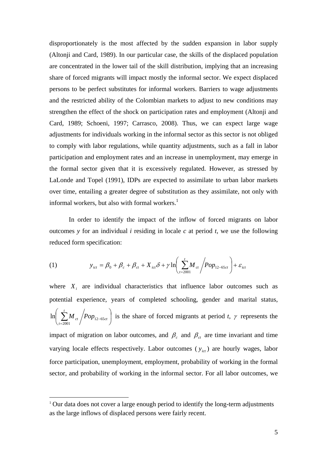disproportionately is the most affected by the sudden expansion in labor supply (Altonji and Card, 1989). In our particular case, the skills of the displaced population are concentrated in the lower tail of the skill distribution, implying that an increasing share of forced migrants will impact mostly the informal sector. We expect displaced persons to be perfect substitutes for informal workers. Barriers to wage adjustments and the restricted ability of the Colombian markets to adjust to new conditions may strengthen the effect of the shock on participation rates and employment (Altonji and Card, 1989; Schoeni, 1997; Carrasco, 2008). Thus, we can expect large wage adjustments for individuals working in the informal sector as this sector is not obliged to comply with labor regulations, while quantity adjustments, such as a fall in labor participation and employment rates and an increase in unemployment, may emerge in the formal sector given that it is excessively regulated. However, as stressed by LaLonde and Topel (1991), IDPs are expected to assimilate to urban labor markets over time, entailing a greater degree of substitution as they assimilate, not only with informal workers, but also with formal workers.<sup>1</sup>

In order to identify the impact of the inflow of forced migrants on labor outcomes *y* for an individual *i* residing in locale *c* at period *t*, we use the following reduced form specification:

(1) 
$$
y_{ict} = \beta_0 + \beta_c + \beta_{ct} + X_{ict}\delta + \gamma \ln \left( \sum_{t=2001}^{t} M_{ct} / Pop_{12-65ct} \right) + \varepsilon_{ict}
$$

where  $X_i$  are individual characteristics that influence labor outcomes such as potential experience, years of completed schooling, gender and marital status,  $\overline{\phantom{a}}$ ⎠  $\left( \sum_{ct}^{t} M_{ct} \left/ Pop_{12-65ct} \right) \right)$ ⎝  $\big($ −  $\sum_{t=2001}^{t}$ M <sub>ct</sub>  $\bigg / Pop_{12-65ct}$ *t M* <sub>ct</sub>  $\big / Pop_{12-65}$ 2001 ln  $\sum M_{ct}$  /  $Pop_{12-65ct}$  is the share of forced migrants at period *t*,  $\gamma$  represents the impact of migration on labor outcomes, and  $\beta_c$  and  $\beta_c$  are time invariant and time varying locale effects respectively. Labor outcomes  $(y_{ict})$  are hourly wages, labor force participation, unemployment, employment, probability of working in the formal sector, and probability of working in the informal sector. For all labor outcomes, we

<sup>&</sup>lt;sup>1</sup> Our data does not cover a large enough period to identify the long-term adjustments as the large inflows of displaced persons were fairly recent.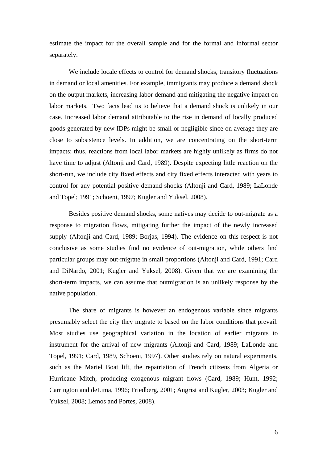estimate the impact for the overall sample and for the formal and informal sector separately.

We include locale effects to control for demand shocks, transitory fluctuations in demand or local amenities. For example, immigrants may produce a demand shock on the output markets, increasing labor demand and mitigating the negative impact on labor markets. Two facts lead us to believe that a demand shock is unlikely in our case. Increased labor demand attributable to the rise in demand of locally produced goods generated by new IDPs might be small or negligible since on average they are close to subsistence levels. In addition, we are concentrating on the short-term impacts; thus, reactions from local labor markets are highly unlikely as firms do not have time to adjust (Altonji and Card, 1989). Despite expecting little reaction on the short-run, we include city fixed effects and city fixed effects interacted with years to control for any potential positive demand shocks (Altonji and Card, 1989; LaLonde and Topel; 1991; Schoeni, 1997; Kugler and Yuksel, 2008).

Besides positive demand shocks, some natives may decide to out-migrate as a response to migration flows, mitigating further the impact of the newly increased supply (Altonji and Card, 1989; Borjas, 1994). The evidence on this respect is not conclusive as some studies find no evidence of out-migration, while others find particular groups may out-migrate in small proportions (Altonji and Card, 1991; Card and DiNardo, 2001; Kugler and Yuksel, 2008). Given that we are examining the short-term impacts, we can assume that outmigration is an unlikely response by the native population.

The share of migrants is however an endogenous variable since migrants presumably select the city they migrate to based on the labor conditions that prevail. Most studies use geographical variation in the location of earlier migrants to instrument for the arrival of new migrants (Altonji and Card, 1989; LaLonde and Topel, 1991; Card, 1989, Schoeni, 1997). Other studies rely on natural experiments, such as the Mariel Boat lift, the repatriation of French citizens from Algeria or Hurricane Mitch, producing exogenous migrant flows (Card, 1989; Hunt, 1992; Carrington and deLima, 1996; Friedberg, 2001; Angrist and Kugler, 2003; Kugler and Yuksel, 2008; Lemos and Portes, 2008).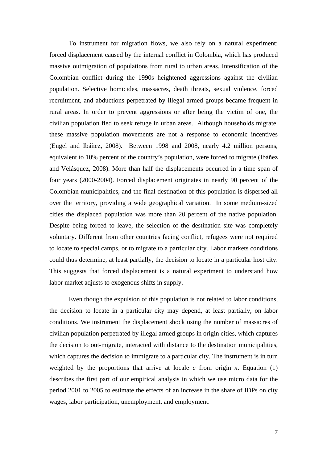To instrument for migration flows, we also rely on a natural experiment: forced displacement caused by the internal conflict in Colombia, which has produced massive outmigration of populations from rural to urban areas. Intensification of the Colombian conflict during the 1990s heightened aggressions against the civilian population. Selective homicides, massacres, death threats, sexual violence, forced recruitment, and abductions perpetrated by illegal armed groups became frequent in rural areas. In order to prevent aggressions or after being the victim of one, the civilian population fled to seek refuge in urban areas. Although households migrate, these massive population movements are not a response to economic incentives (Engel and Ibáñez, 2008). Between 1998 and 2008, nearly 4.2 million persons, equivalent to 10% percent of the country's population, were forced to migrate (Ibáñez and Velásquez, 2008). More than half the displacements occurred in a time span of four years (2000-2004). Forced displacement originates in nearly 90 percent of the Colombian municipalities, and the final destination of this population is dispersed all over the territory, providing a wide geographical variation. In some medium-sized cities the displaced population was more than 20 percent of the native population. Despite being forced to leave, the selection of the destination site was completely voluntary. Different from other countries facing conflict, refugees were not required to locate to special camps, or to migrate to a particular city. Labor markets conditions could thus determine, at least partially, the decision to locate in a particular host city. This suggests that forced displacement is a natural experiment to understand how labor market adjusts to exogenous shifts in supply.

Even though the expulsion of this population is not related to labor conditions, the decision to locate in a particular city may depend, at least partially, on labor conditions. We instrument the displacement shock using the number of massacres of civilian population perpetrated by illegal armed groups in origin cities, which captures the decision to out-migrate, interacted with distance to the destination municipalities, which captures the decision to immigrate to a particular city. The instrument is in turn weighted by the proportions that arrive at locale  $c$  from origin  $x$ . Equation (1) describes the first part of our empirical analysis in which we use micro data for the period 2001 to 2005 to estimate the effects of an increase in the share of IDPs on city wages, labor participation, unemployment, and employment.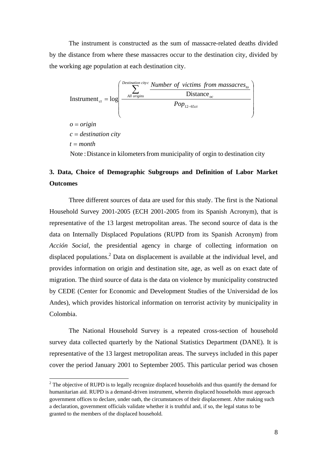The instrument is constructed as the sum of massacre-related deaths divided by the distance from where these massacres occur to the destination city, divided by the working age population at each destination city.



## **3. Data, Choice of Demographic Subgroups and Definition of Labor Market Outcomes**

Three different sources of data are used for this study. The first is the National Household Survey 2001-2005 (ECH 2001-2005 from its Spanish Acronym), that is representative of the 13 largest metropolitan areas. The second source of data is the data on Internally Displaced Populations (RUPD from its Spanish Acronym) from *Acción Social*, the presidential agency in charge of collecting information on displaced populations.<sup>2</sup> Data on displacement is available at the individual level, and provides information on origin and destination site, age, as well as on exact date of migration. The third source of data is the data on violence by municipality constructed by CEDE (Center for Economic and Development Studies of the Universidad de los Andes), which provides historical information on terrorist activity by municipality in Colombia.

The National Household Survey is a repeated cross-section of household survey data collected quarterly by the National Statistics Department (DANE). It is representative of the 13 largest metropolitan areas. The surveys included in this paper cover the period January 2001 to September 2005. This particular period was chosen

<sup>&</sup>lt;sup>2</sup> The objective of RUPD is to legally recognize displaced households and thus quantify the demand for humanitarian aid. RUPD is a demand-driven instrument, wherein displaced households must approach government offices to declare, under oath, the circumstances of their displacement. After making such a declaration, government officials validate whether it is truthful and, if so, the legal status to be granted to the members of the displaced household.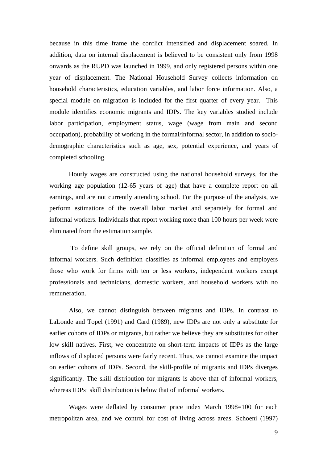because in this time frame the conflict intensified and displacement soared. In addition, data on internal displacement is believed to be consistent only from 1998 onwards as the RUPD was launched in 1999, and only registered persons within one year of displacement. The National Household Survey collects information on household characteristics, education variables, and labor force information. Also, a special module on migration is included for the first quarter of every year. This module identifies economic migrants and IDPs. The key variables studied include labor participation, employment status, wage (wage from main and second occupation), probability of working in the formal/informal sector, in addition to sociodemographic characteristics such as age, sex, potential experience, and years of completed schooling.

Hourly wages are constructed using the national household surveys, for the working age population (12-65 years of age) that have a complete report on all earnings, and are not currently attending school. For the purpose of the analysis, we perform estimations of the overall labor market and separately for formal and informal workers. Individuals that report working more than 100 hours per week were eliminated from the estimation sample.

 To define skill groups, we rely on the official definition of formal and informal workers. Such definition classifies as informal employees and employers those who work for firms with ten or less workers, independent workers except professionals and technicians, domestic workers, and household workers with no remuneration.

Also, we cannot distinguish between migrants and IDPs. In contrast to LaLonde and Topel (1991) and Card (1989), new IDPs are not only a substitute for earlier cohorts of IDPs or migrants, but rather we believe they are substitutes for other low skill natives. First, we concentrate on short-term impacts of IDPs as the large inflows of displaced persons were fairly recent. Thus, we cannot examine the impact on earlier cohorts of IDPs. Second, the skill-profile of migrants and IDPs diverges significantly. The skill distribution for migrants is above that of informal workers, whereas IDPs' skill distribution is below that of informal workers.

Wages were deflated by consumer price index March 1998=100 for each metropolitan area, and we control for cost of living across areas. Schoeni (1997)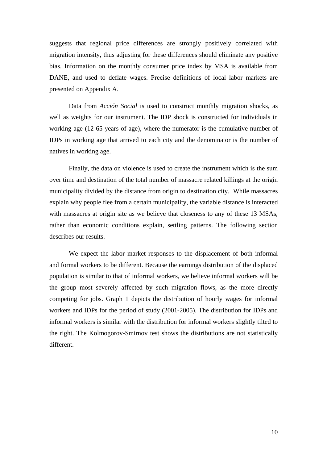suggests that regional price differences are strongly positively correlated with migration intensity, thus adjusting for these differences should eliminate any positive bias. Information on the monthly consumer price index by MSA is available from DANE, and used to deflate wages. Precise definitions of local labor markets are presented on Appendix A.

Data from *Acción Social* is used to construct monthly migration shocks, as well as weights for our instrument. The IDP shock is constructed for individuals in working age (12-65 years of age), where the numerator is the cumulative number of IDPs in working age that arrived to each city and the denominator is the number of natives in working age.

Finally, the data on violence is used to create the instrument which is the sum over time and destination of the total number of massacre related killings at the origin municipality divided by the distance from origin to destination city. While massacres explain why people flee from a certain municipality, the variable distance is interacted with massacres at origin site as we believe that closeness to any of these 13 MSAs, rather than economic conditions explain, settling patterns. The following section describes our results.

We expect the labor market responses to the displacement of both informal and formal workers to be different. Because the earnings distribution of the displaced population is similar to that of informal workers, we believe informal workers will be the group most severely affected by such migration flows, as the more directly competing for jobs. Graph 1 depicts the distribution of hourly wages for informal workers and IDPs for the period of study (2001-2005). The distribution for IDPs and informal workers is similar with the distribution for informal workers slightly tilted to the right. The Kolmogorov-Smirnov test shows the distributions are not statistically different.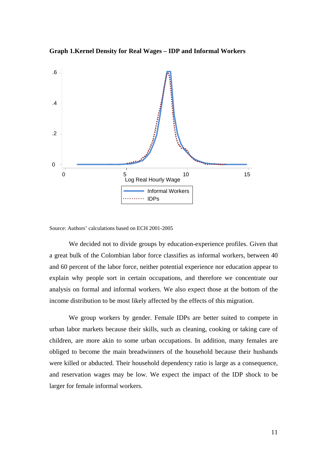



Source: Authors' calculations based on ECH 2001-2005

 We decided not to divide groups by education-experience profiles. Given that a great bulk of the Colombian labor force classifies as informal workers, between 40 and 60 percent of the labor force, neither potential experience nor education appear to explain why people sort in certain occupations, and therefore we concentrate our analysis on formal and informal workers. We also expect those at the bottom of the income distribution to be most likely affected by the effects of this migration.

We group workers by gender. Female IDPs are better suited to compete in urban labor markets because their skills, such as cleaning, cooking or taking care of children, are more akin to some urban occupations. In addition, many females are obliged to become the main breadwinners of the household because their husbands were killed or abducted. Their household dependency ratio is large as a consequence, and reservation wages may be low. We expect the impact of the IDP shock to be larger for female informal workers.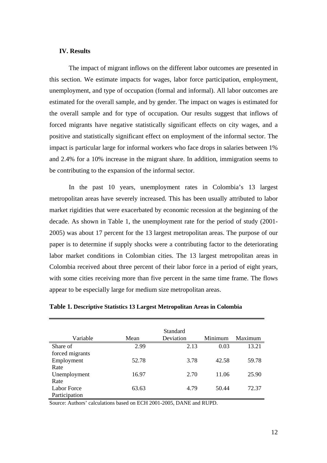#### **IV. Results**

 The impact of migrant inflows on the different labor outcomes are presented in this section. We estimate impacts for wages, labor force participation, employment, unemployment, and type of occupation (formal and informal). All labor outcomes are estimated for the overall sample, and by gender. The impact on wages is estimated for the overall sample and for type of occupation. Our results suggest that inflows of forced migrants have negative statistically significant effects on city wages, and a positive and statistically significant effect on employment of the informal sector. The impact is particular large for informal workers who face drops in salaries between 1% and 2.4% for a 10% increase in the migrant share. In addition, immigration seems to be contributing to the expansion of the informal sector.

 In the past 10 years, unemployment rates in Colombia's 13 largest metropolitan areas have severely increased. This has been usually attributed to labor market rigidities that were exacerbated by economic recession at the beginning of the decade. As shown in Table 1, the unemployment rate for the period of study (2001- 2005) was about 17 percent for the 13 largest metropolitan areas. The purpose of our paper is to determine if supply shocks were a contributing factor to the deteriorating labor market conditions in Colombian cities. The 13 largest metropolitan areas in Colombia received about three percent of their labor force in a period of eight years, with some cities receiving more than five percent in the same time frame. The flows appear to be especially large for medium size metropolitan areas.

|                 |       | Standard  |         |         |
|-----------------|-------|-----------|---------|---------|
| Variable        | Mean  | Deviation | Minimum | Maximum |
| Share of        | 2.99  | 2.13      | 0.03    | 13.21   |
| forced migrants |       |           |         |         |
| Employment      | 52.78 | 3.78      | 42.58   | 59.78   |
| Rate            |       |           |         |         |
| Unemployment    | 16.97 | 2.70      | 11.06   | 25.90   |
| Rate            |       |           |         |         |
| Labor Force     | 63.63 | 4.79      | 50.44   | 72.37   |
| Participation   |       |           |         |         |

**Table 1. Descriptive Statistics 13 Largest Metropolitan Areas in Colombia** 

Source: Authors' calculations based on ECH 2001-2005, DANE and RUPD.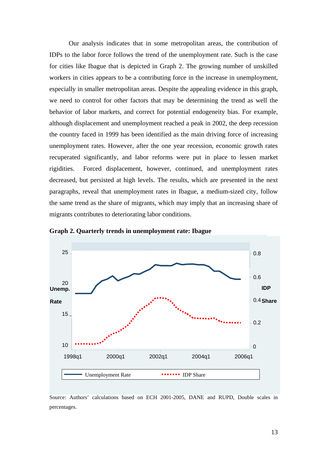Our analysis indicates that in some metropolitan areas, the contribution of IDPs to the labor force follows the trend of the unemployment rate. Such is the case for cities like Ibague that is depicted in Graph 2. The growing number of unskilled workers in cities appears to be a contributing force in the increase in unemployment, especially in smaller metropolitan areas. Despite the appealing evidence in this graph, we need to control for other factors that may be determining the trend as well the behavior of labor markets, and correct for potential endogeneity bias. For example, although displacement and unemployment reached a peak in 2002, the deep recession the country faced in 1999 has been identified as the main driving force of increasing unemployment rates. However, after the one year recession, economic growth rates recuperated significantly, and labor reforms were put in place to lessen market rigidities. Forced displacement, however, continued, and unemployment rates decreased, but persisted at high levels. The results, which are presented in the next paragraphs, reveal that unemployment rates in Ibague, a medium-sized city, follow the same trend as the share of migrants, which may imply that an increasing share of migrants contributes to deteriorating labor conditions.



**Graph 2. Quarterly trends in unemployment rate: Ibague**

Source: Authors' calculations based on ECH 2001-2005, DANE and RUPD, Double scales in percentages.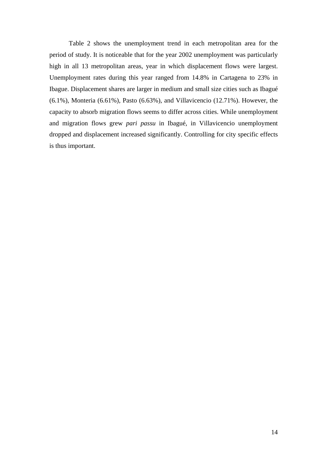Table 2 shows the unemployment trend in each metropolitan area for the period of study. It is noticeable that for the year 2002 unemployment was particularly high in all 13 metropolitan areas, year in which displacement flows were largest. Unemployment rates during this year ranged from 14.8% in Cartagena to 23% in Ibague. Displacement shares are larger in medium and small size cities such as Ibagué (6.1%), Monteria (6.61%), Pasto (6.63%), and Villavicencio (12.71%). However, the capacity to absorb migration flows seems to differ across cities. While unemployment and migration flows grew *pari passu* in Ibagué, in Villavicencio unemployment dropped and displacement increased significantly. Controlling for city specific effects is thus important.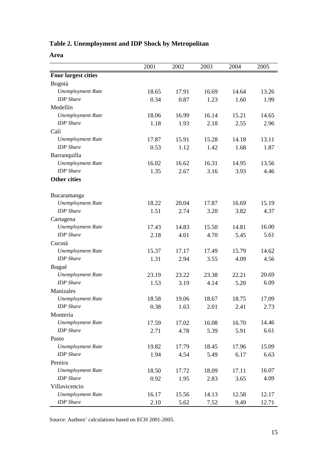## **Table 2. Unemployment and IDP Shock by Metropolitan**

| ×<br>۰,<br>۰,<br>۹ |
|--------------------|
|--------------------|

|                            | 2001  | 2002  | 2003  | 2004  | 2005  |
|----------------------------|-------|-------|-------|-------|-------|
| <b>Four largest cities</b> |       |       |       |       |       |
| Bogotá                     |       |       |       |       |       |
| <b>Unemployment Rate</b>   | 18.65 | 17.91 | 16.69 | 14.64 | 13.26 |
| <b>IDP</b> Share           | 0.34  | 0.87  | 1.23  | 1.60  | 1.99  |
| Medellín                   |       |       |       |       |       |
| <b>Unemployment Rate</b>   | 18.06 | 16.99 | 16.14 | 15.21 | 14.65 |
| <b>IDP</b> Share           | 1.18  | 1.93  | 2.18  | 2.55  | 2.96  |
| Calí                       |       |       |       |       |       |
| <b>Unemployment Rate</b>   | 17.87 | 15.91 | 15.28 | 14.18 | 13.11 |
| <b>IDP</b> Share           | 0.53  | 1.12  | 1.42  | 1.68  | 1.87  |
| Barranquilla               |       |       |       |       |       |
| <b>Unemployment Rate</b>   | 16.02 | 16.62 | 16.31 | 14.95 | 13.56 |
| <b>IDP</b> Share           | 1.35  | 2.67  | 3.16  | 3.93  | 4.46  |
| <b>Other cities</b>        |       |       |       |       |       |
| Bucaramanga                |       |       |       |       |       |
| <b>Unemployment Rate</b>   | 18.22 | 20.04 | 17.87 | 16.69 | 15.19 |
| <b>IDP</b> Share           | 1.51  | 2.74  | 3.20  | 3.82  | 4.37  |
| Cartagena                  |       |       |       |       |       |
| <b>Unemployment Rate</b>   | 17.43 | 14.83 | 15.50 | 14.81 | 16.00 |
| <b>IDP</b> Share           | 2.18  | 4.01  | 4.70  | 5.45  | 5.61  |
| Cucutá                     |       |       |       |       |       |
| <b>Unemployment Rate</b>   | 15.37 | 17.17 | 17.49 | 15.79 | 14.62 |
| <b>IDP</b> Share           | 1.31  | 2.94  | 3.55  | 4.09  | 4.56  |
| Ibagué                     |       |       |       |       |       |
| <b>Unemployment Rate</b>   | 23.19 | 23.22 | 23.38 | 22.21 | 20.69 |
| <b>IDP</b> Share           | 1.53  | 3.19  | 4.14  | 5.20  | 6.09  |
| Manizales                  |       |       |       |       |       |
| <b>Unemployment Rate</b>   | 18.58 | 19.06 | 18.67 | 18.75 | 17.09 |
| <b>IDP</b> Share           | 0.38  | 1.63  | 2.01  | 2.41  | 2.73  |
| Montería                   |       |       |       |       |       |
| <b>Unemployment Rate</b>   | 17.59 | 17.02 | 16.08 | 16.70 | 14.46 |
| <b>IDP</b> Share           | 2.71  | 4.78  | 5.39  | 5.91  | 6.61  |
| Pasto                      |       |       |       |       |       |
| <b>Unemployment Rate</b>   | 19.82 | 17.79 | 18.45 | 17.96 | 15.09 |
| <b>IDP</b> Share           | 1.94  | 4.54  | 5.49  | 6.17  | 6.63  |
| Pereira                    |       |       |       |       |       |
| <b>Unemployment Rate</b>   | 18.50 | 17.72 | 18.09 | 17.11 | 16.07 |
| <b>IDP</b> Share           | 0.92  | 1.95  | 2.83  | 3.65  | 4.09  |
| Villavicencio              |       |       |       |       |       |
| <b>Unemployment Rate</b>   | 16.17 | 15.56 | 14.13 | 12.58 | 12.17 |
| <b>IDP</b> Share           | 2.10  | 5.62  | 7.52  | 9.49  | 12.71 |

Source: Authors' calculations based on ECH 2001-2005.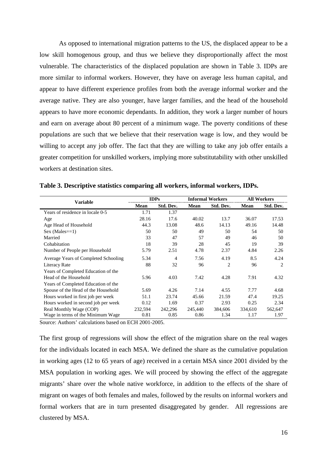As opposed to international migration patterns to the US, the displaced appear to be a low skill homogenous group, and thus we believe they disproportionally affect the most vulnerable. The characteristics of the displaced population are shown in Table 3. IDPs are more similar to informal workers. However, they have on average less human capital, and appear to have different experience profiles from both the average informal worker and the average native. They are also younger, have larger families, and the head of the household appears to have more economic dependants. In addition, they work a larger number of hours and earn on average about 80 percent of a minimum wage. The poverty conditions of these populations are such that we believe that their reservation wage is low, and they would be willing to accept any job offer. The fact that they are willing to take any job offer entails a greater competition for unskilled workers, implying more substitutability with other unskilled workers at destination sites.

| <b>Variable</b>                      | <b>IDPs</b> |           |             | <b>Informal Workers</b> |             | <b>All Workers</b> |  |
|--------------------------------------|-------------|-----------|-------------|-------------------------|-------------|--------------------|--|
|                                      | Mean        | Std. Dev. | <b>Mean</b> | Std. Dev.               | <b>Mean</b> | Std. Dev.          |  |
| Years of residence in locale 0-5     | 1.71        | 1.37      |             |                         |             |                    |  |
| Age                                  | 28.16       | 17.6      | 40.02       | 13.7                    | 36.07       | 17.53              |  |
| Age Head of Household                | 44.3        | 13.08     | 48.6        | 14.13                   | 49.16       | 14.48              |  |
| $Sex (Males==1)$                     | 50          | 50        | 49          | 50                      | 54          | 50                 |  |
| Married                              | 33          | 47        | 57          | 49                      | 46          | 50                 |  |
| Cohabitation                         | 18          | 39        | 28          | 45                      | 19          | 39                 |  |
| Number of People per Household       | 5.79        | 2.51      | 4.78        | 2.37                    | 4.84        | 2.26               |  |
| Average Years of Completed Schooling | 5.34        | 4         | 7.56        | 4.19                    | 8.5         | 4.24               |  |
| Literacy Rate                        | 88          | 32        | 96          | 2                       | 96          | $\overline{2}$     |  |
| Years of Completed Education of the  |             |           |             |                         |             |                    |  |
| Head of the Household                | 5.96        | 4.03      | 7.42        | 4.28                    | 7.91        | 4.32               |  |
| Years of Completed Education of the  |             |           |             |                         |             |                    |  |
| Spouse of the Head of the Household  | 5.69        | 4.26      | 7.14        | 4.55                    | 7.77        | 4.68               |  |
| Hours worked in first job per week   | 51.1        | 23.74     | 45.66       | 21.59                   | 47.4        | 19.25              |  |
| Hours worked in second job per week  | 0.12        | 1.69      | 0.37        | 2.93                    | 0.25        | 2.34               |  |
| Real Monthly Wage (COP)              | 232,594     | 242,296   | 245,440     | 384,606                 | 334,610     | 562,647            |  |
| Wage in terms of the Minimum Wage    | 0.81        | 0.85      | 0.86        | 1.34                    | 1.17        | 1.97               |  |

**Table 3. Descriptive statistics comparing all workers, informal workers, IDPs.** 

Source: Authors' calculations based on ECH 2001-2005.

The first group of regressions will show the effect of the migration share on the real wages for the individuals located in each MSA. We defined the share as the cumulative population in working ages (12 to 65 years of age) received in a certain MSA since 2001 divided by the MSA population in working ages. We will proceed by showing the effect of the aggregate migrants' share over the whole native workforce, in addition to the effects of the share of migrant on wages of both females and males, followed by the results on informal workers and formal workers that are in turn presented disaggregated by gender. All regressions are clustered by MSA.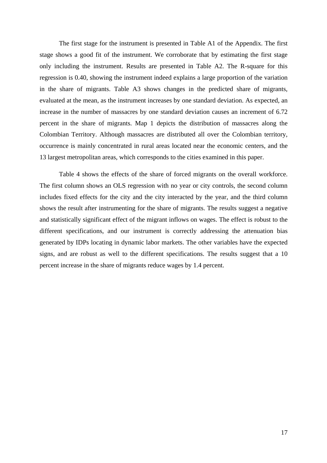The first stage for the instrument is presented in Table A1 of the Appendix. The first stage shows a good fit of the instrument. We corroborate that by estimating the first stage only including the instrument. Results are presented in Table A2. The R-square for this regression is 0.40, showing the instrument indeed explains a large proportion of the variation in the share of migrants. Table A3 shows changes in the predicted share of migrants, evaluated at the mean, as the instrument increases by one standard deviation. As expected, an increase in the number of massacres by one standard deviation causes an increment of 6.72 percent in the share of migrants. Map 1 depicts the distribution of massacres along the Colombian Territory. Although massacres are distributed all over the Colombian territory, occurrence is mainly concentrated in rural areas located near the economic centers, and the 13 largest metropolitan areas, which corresponds to the cities examined in this paper.

 Table 4 shows the effects of the share of forced migrants on the overall workforce. The first column shows an OLS regression with no year or city controls, the second column includes fixed effects for the city and the city interacted by the year, and the third column shows the result after instrumenting for the share of migrants. The results suggest a negative and statistically significant effect of the migrant inflows on wages. The effect is robust to the different specifications, and our instrument is correctly addressing the attenuation bias generated by IDPs locating in dynamic labor markets. The other variables have the expected signs, and are robust as well to the different specifications. The results suggest that a 10 percent increase in the share of migrants reduce wages by 1.4 percent.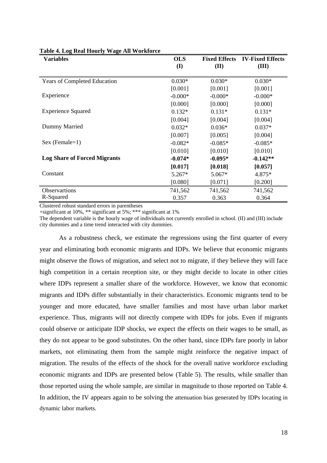| <b>Variables</b>                    | <b>OLS</b> | <b>Fixed Effects</b> | <b>IV-Fixed Effects</b> |
|-------------------------------------|------------|----------------------|-------------------------|
|                                     | (I)        | (II)                 | (III)                   |
|                                     |            |                      |                         |
| <b>Years of Completed Education</b> | $0.030*$   | $0.030*$             | $0.030*$                |
|                                     | [0.001]    | [0.001]              | [0.001]                 |
| Experience                          | $-0.000*$  | $-0.000*$            | $-0.000*$               |
|                                     | [0.000]    | [0.000]              | [0.000]                 |
| <b>Experience Squared</b>           | $0.132*$   | $0.131*$             | $0.131*$                |
|                                     | [0.004]    | [0.004]              | [0.004]                 |
| Dummy Married                       | $0.032*$   | $0.036*$             | $0.037*$                |
|                                     | [0.007]    | [0.005]              | [0.004]                 |
| $Sex (Female=1)$                    | $-0.082*$  | $-0.085*$            | $-0.085*$               |
|                                     | [0.010]    | [0.010]              | [0.010]                 |
| <b>Log Share of Forced Migrants</b> | $-0.074*$  | $-0.095*$            | $-0.142**$              |
|                                     | [0.017]    | [0.018]              | [0.057]                 |
| Constant                            | $5.267*$   | $5.067*$             | $4.875*$                |
|                                     | [0.080]    | [0.071]              | [0.200]                 |
| <b>Observartions</b>                | 741,562    | 741,562              | 741,562                 |
| R-Squared                           | 0.357      | 0.363                | 0.364                   |

#### **Table 4. Log Real Hourly Wage All Workforce**

Clustered robust standard errors in parentheses

+significant at 10%, \*\* significant at 5%; \*\*\* significant at 1%

The dependent variable is the hourly wage of individuals not currently enrolled in school. (II) and (III) include city dummies and a time trend interacted with city dummies.

 As a robustness check, we estimate the regressions using the first quarter of every year and eliminating both economic migrants and IDPs. We believe that economic migrants might observe the flows of migration, and select not to migrate, if they believe they will face high competition in a certain reception site, or they might decide to locate in other cities where IDPs represent a smaller share of the workforce. However, we know that economic migrants and IDPs differ substantially in their characteristics. Economic migrants tend to be younger and more educated, have smaller families and most have urban labor market experience. Thus, migrants will not directly compete with IDPs for jobs. Even if migrants could observe or anticipate IDP shocks, we expect the effects on their wages to be small, as they do not appear to be good substitutes. On the other hand, since IDPs fare poorly in labor markets, not eliminating them from the sample might reinforce the negative impact of migration. The results of the effects of the shock for the overall native workforce excluding economic migrants and IDPs are presented below (Table 5). The results, while smaller than those reported using the whole sample, are similar in magnitude to those reported on Table 4. In addition, the IV appears again to be solving the attenuation bias generated by IDPs locating in dynamic labor markets.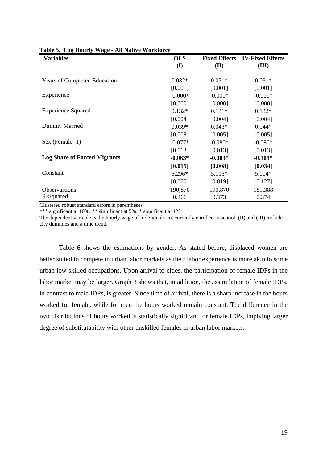| <b>Variables</b>                    | <b>OLS</b>   |           | <b>Fixed Effects IV-Fixed Effects</b> |
|-------------------------------------|--------------|-----------|---------------------------------------|
|                                     | $\mathbf{I}$ | (II)      | (III)                                 |
| <b>Years of Completed Education</b> | $0.032*$     | $0.031*$  | $0.031*$                              |
|                                     | [0.001]      | [0.001]   | [0.001]                               |
| Experience                          | $-0.000*$    | $-0.000*$ | $-0.000*$                             |
|                                     | [0.000]      | [0.000]   | [0.000]                               |
| <b>Experience Squared</b>           | $0.132*$     | $0.131*$  | $0.132*$                              |
|                                     | [0.004]      | [0.004]   | [0.004]                               |
| Dummy Married                       | $0.039*$     | $0.043*$  | $0.044*$                              |
|                                     | [0.008]      | [0.005]   | [0.005]                               |
| $Sex (Female=1)$                    | $-0.077*$    | $-0.080*$ | $-0.080*$                             |
|                                     | [0.013]      | [0.013]   | [0.013]                               |
| <b>Log Share of Forced Migrants</b> | $-0.063*$    | $-0.083*$ | $-0.109*$                             |
|                                     | [0.015]      | [0.008]   | [0.034]                               |
| Constant                            | 5.296*       | $5.115*$  | $5.004*$                              |
|                                     | [0.080]      | [0.019]   | [0.127]                               |
| Observartions                       | 190,870      | 190,870   | 189,388                               |
| R-Squared                           | 0.366        | 0.373     | 0.374                                 |

#### **Table 5. Log Hourly Wage - All Native Workforce**

Clustered robust standard errors in parentheses

\*\*\* significant at 10%; \*\* significant at 5%; \* significant at 1%

The dependent variable is the hourly wage of individuals not currently enrolled in school. (II) and (III) include city dummies and a time trend.

 Table 6 shows the estimations by gender. As stated before, displaced women are better suited to compete in urban labor markets as their labor experience is more akin to some urban low skilled occupations. Upon arrival to cities, the participation of female IDPs in the labor market may be larger. Graph 3 shows that, in addition, the assimilation of female IDPs, in contrast to male IDPs, is greater. Since time of arrival, there is a sharp increase in the hours worked for female, while for men the hours worked remain constant. The difference in the two distributions of hours worked is statistically significant for female IDPs, implying larger degree of substitutability with other unskilled females in urban labor markets.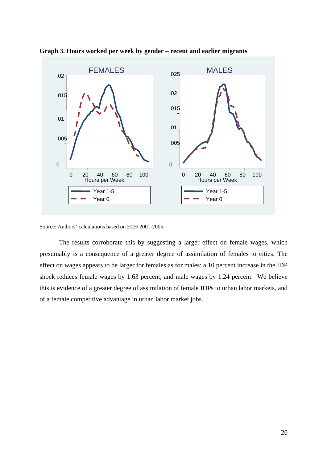

**Graph 3. Hours worked per week by gender – recent and earlier migrants** 

Source: Authors' calculations based on ECH 2001-2005.

 The results corroborate this by suggesting a larger effect on female wages, which presumably is a consequence of a greater degree of assimilation of females to cities. The effect on wages appears to be larger for females as for males: a 10 percent increase in the IDP shock reduces female wages by 1.63 percent, and male wages by 1.24 percent. We believe this is evidence of a greater degree of assimilation of female IDPs to urban labor markets, and of a female competitive advantage in urban labor market jobs.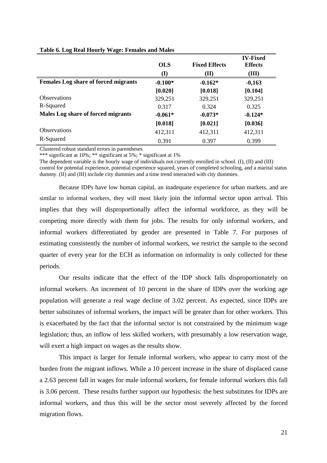|                                             | <b>OLS</b> | <b>Fixed Effects</b> | <b>IV-Fixed</b><br><b>Effects</b> |
|---------------------------------------------|------------|----------------------|-----------------------------------|
|                                             | (I)        | (II)                 | (III)                             |
| <b>Females Log share of forced migrants</b> | $-0.100*$  | $-0.162*$            | $-0,163$                          |
|                                             | [0.020]    | [0.018]              | [0.104]                           |
| <b>Observations</b>                         | 329,251    | 329,251              | 329,251                           |
| R-Squared                                   | 0.317      | 0.324                | 0.325                             |
| Males Log share of forced migrants          | $-0.061*$  | $-0.073*$            | $-0.124*$                         |
|                                             | [0.018]    | [0.021]              | [0.036]                           |
| <b>Observations</b>                         | 412,311    | 412,311              | 412,311                           |
| R-Squared                                   | 0.391      | 0.397                | 0.399                             |

#### **Table 6. Log Real Hourly Wage: Females and Males**

Clustered robust standard errors in parentheses

\*\*\* significant at 10%; \*\* significant at 5%; \* significant at 1%

The dependent variable is the hourly wage of individuals not currently enrolled in school. (I), (II) and (III) control for potential experience, potential experience squared, years of completed schooling, and a marital status dummy. (II) and (III) include city dummies and a time trend interacted with city dummies.

 Because IDPs have low human capital, an inadequate experience for urban markets, and are similar to informal workers, they will most likely join the informal sector upon arrival. This implies that they will disproportionally affect the informal workforce, as they will be competing more directly with them for jobs. The results for only informal workers, and informal workers differentiated by gender are presented in Table 7. For purposes of estimating consistently the number of informal workers, we restrict the sample to the second quarter of every year for the ECH as information on informality is only collected for these periods.

 Our results indicate that the effect of the IDP shock falls disproportionately on informal workers. An increment of 10 percent in the share of IDPs over the working age population will generate a real wage decline of 3.02 percent. As expected, since IDPs are better substitutes of informal workers, the impact will be greater than for other workers. This is exacerbated by the fact that the informal sector is not constrained by the minimum wage legislation; thus, an inflow of less skilled workers, with presumably a low reservation wage, will exert a high impact on wages as the results show.

This impact is larger for female informal workers, who appear to carry most of the burden from the migrant inflows. While a 10 percent increase in the share of displaced cause a 2.63 percent fall in wages for male informal workers, for female informal workers this fall is 3.06 percent. These results further support our hypothesis: the best substitutes for IDPs are informal workers, and thus this will be the sector most severely affected by the forced migration flows.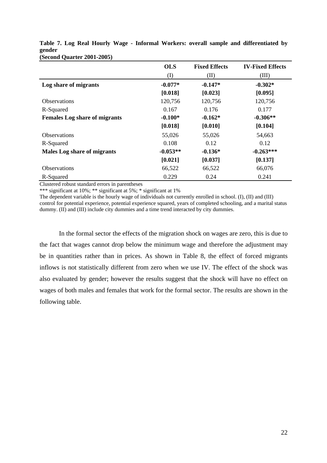|                                      | <b>OLS</b> | <b>Fixed Effects</b> | <b>IV-Fixed Effects</b> |
|--------------------------------------|------------|----------------------|-------------------------|
|                                      | $\rm (I)$  | (II)                 | (III)                   |
| Log share of migrants                | $-0.077*$  | $-0.147*$            | $-0.302*$               |
|                                      | [0.018]    | [0.023]              | [0.095]                 |
| <b>Observations</b>                  | 120,756    | 120,756              | 120,756                 |
| R-Squared                            | 0.167      | 0.176                | 0.177                   |
| <b>Females Log share of migrants</b> | $-0.100*$  | $-0.162*$            | $-0.306**$              |
|                                      | [0.018]    | [0.010]              | [0.104]                 |
| <b>Observations</b>                  | 55,026     | 55,026               | 54,663                  |
| R-Squared                            | 0.108      | 0.12                 | 0.12                    |
| <b>Males Log share of migrants</b>   | $-0.053**$ | $-0.136*$            | $-0.263***$             |
|                                      | [0.021]    | [0.037]              | [0.137]                 |
| Observations                         | 66,522     | 66,522               | 66,076                  |
| R-Squared                            | 0.229      | 0.24                 | 0.241                   |

|                                   |  |  |  |  | Table 7. Log Real Hourly Wage - Informal Workers: overall sample and differentiated by |  |
|-----------------------------------|--|--|--|--|----------------------------------------------------------------------------------------|--|
| gender                            |  |  |  |  |                                                                                        |  |
| <b>(Second Quarter 2001-2005)</b> |  |  |  |  |                                                                                        |  |

Clustered robust standard errors in parentheses

\*\*\* significant at 10%; \*\* significant at 5%; \* significant at 1%

The dependent variable is the hourly wage of individuals not currently enrolled in school. (I), (II) and (III) control for potential experience, potential experience squared, years of completed schooling, and a marital status dummy. (II) and (III) include city dummies and a time trend interacted by city dummies.

 In the formal sector the effects of the migration shock on wages are zero, this is due to the fact that wages cannot drop below the minimum wage and therefore the adjustment may be in quantities rather than in prices. As shown in Table 8, the effect of forced migrants inflows is not statistically different from zero when we use IV. The effect of the shock was also evaluated by gender; however the results suggest that the shock will have no effect on wages of both males and females that work for the formal sector. The results are shown in the following table.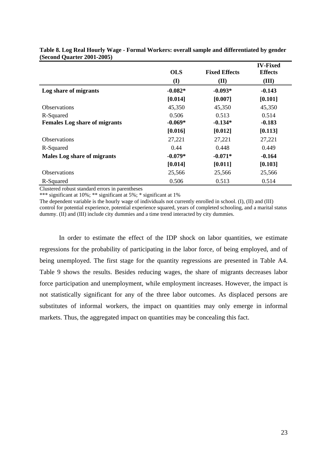|                                      |            |                      | <b>IV-Fixed</b> |
|--------------------------------------|------------|----------------------|-----------------|
|                                      | <b>OLS</b> | <b>Fixed Effects</b> | <b>Effects</b>  |
|                                      | (I)        | (II)                 | (III)           |
| Log share of migrants                | $-0.082*$  | $-0.093*$            | $-0.143$        |
|                                      | [0.014]    | [0.007]              | [0.101]         |
| <b>Observations</b>                  | 45,350     | 45,350               | 45,350          |
| R-Squared                            | 0.506      | 0.513                | 0.514           |
| <b>Females Log share of migrants</b> | $-0.069*$  | $-0.134*$            | $-0.183$        |
|                                      | [0.016]    | [0.012]              | [0.113]         |
| <b>Observations</b>                  | 27,221     | 27,221               | 27,221          |
| R-Squared                            | 0.44       | 0.448                | 0.449           |
| <b>Males Log share of migrants</b>   | $-0.079*$  | $-0.071*$            | $-0.164$        |
|                                      | [0.014]    | [0.011]              | [0.103]         |
| Observations                         | 25,566     | 25,566               | 25,566          |
| R-Squared                            | 0.506      | 0.513                | 0.514           |

**Table 8. Log Real Hourly Wage - Formal Workers: overall sample and differentiated by gender (Second Quarter 2001-2005)**

Clustered robust standard errors in parentheses

\*\*\* significant at 10%; \*\* significant at 5%; \* significant at 1%

The dependent variable is the hourly wage of individuals not currently enrolled in school. (I), (II) and (III) control for potential experience, potential experience squared, years of completed schooling, and a marital status dummy. (II) and (III) include city dummies and a time trend interacted by city dummies.

In order to estimate the effect of the IDP shock on labor quantities, we estimate regressions for the probability of participating in the labor force, of being employed, and of being unemployed. The first stage for the quantity regressions are presented in Table A4. Table 9 shows the results. Besides reducing wages, the share of migrants decreases labor force participation and unemployment, while employment increases. However, the impact is not statistically significant for any of the three labor outcomes. As displaced persons are substitutes of informal workers, the impact on quantities may only emerge in informal markets. Thus, the aggregated impact on quantities may be concealing this fact.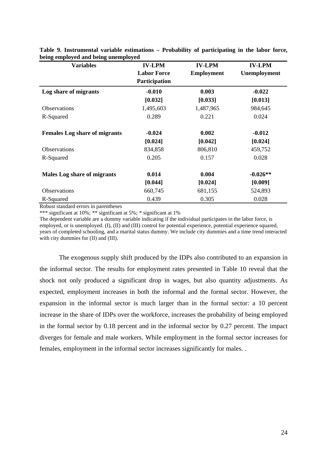| <b>Variables</b>                     | <b>IV-LPM</b>        | <b>IV-LPM</b>     | <b>IV-LPM</b> |
|--------------------------------------|----------------------|-------------------|---------------|
|                                      | <b>Labor Force</b>   | <b>Employment</b> | Unemployment  |
|                                      | <b>Participation</b> |                   |               |
| Log share of migrants                | $-0.010$             | 0.003             | $-0.022$      |
|                                      | [0.032]              | [0.033]           | [0.013]       |
| <b>Observations</b>                  | 1,495,603            | 1,487,965         | 984,645       |
| R-Squared                            | 0.289                | 0.221             | 0.024         |
| <b>Females Log share of migrants</b> | $-0.024$             | 0.002             | $-0.012$      |
|                                      | [0.024]              | [0.042]           | [0.024]       |
| Observations                         | 834,858              | 806,810           | 459,752       |
| R-Squared                            | 0.205                | 0.157             | 0.028         |
| <b>Males Log share of migrants</b>   | 0.014                | 0.004             | $-0.026**$    |
|                                      | [0.044]              | [0.024]           | [0.009]       |
| Observations                         | 660,745              | 681,155           | 524,893       |
| R-Squared                            | 0.439                | 0.305             | 0.028         |

**Table 9. Instrumental variable estimations – Probability of participating in the labor force, being employed and being unemployed** 

Robust standard errors in parentheses

\*\*\* significant at 10%; \*\* significant at 5%; \* significant at 1%

The dependent variable are a dummy variable indicating if the individual participates in the labor force, is employed, or is unemployed. (I), (II) and (III) control for potential experience, potential experience squared, years of completed schooling, and a marital status dummy. We include city dummies and a time trend interacted with city dummies for (II) and (III).

The exogenous supply shift produced by the IDPs also contributed to an expansion in the informal sector. The results for employment rates presented in Table 10 reveal that the shock not only produced a significant drop in wages, but also quantity adjustments. As expected, employment increases in both the informal and the formal sector. However, the expansion in the informal sector is much larger than in the formal sector: a 10 percent increase in the share of IDPs over the workforce, increases the probability of being employed in the formal sector by 0.18 percent and in the informal sector by 0.27 percent. The impact diverges for female and male workers. While employment in the formal sector increases for females, employment in the informal sector increases significantly for males. .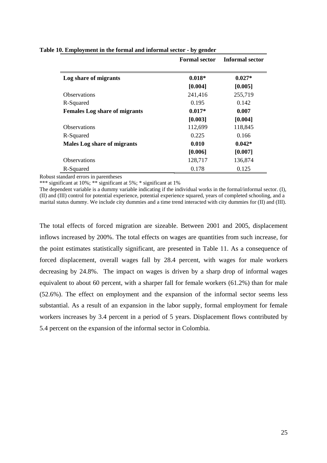|                                      | <b>Formal sector</b> | Informal sector |
|--------------------------------------|----------------------|-----------------|
| Log share of migrants                | $0.018*$             | $0.027*$        |
|                                      | [0.004]              | [0.005]         |
| <b>Observations</b>                  | 241,416              | 255,719         |
| R-Squared                            | 0.195                | 0.142           |
| <b>Females Log share of migrants</b> | $0.017*$             | 0.007           |
|                                      | [0.003]              | [0.004]         |
| <b>Observations</b>                  | 112,699              | 118,845         |
| R-Squared                            | 0.225                | 0.166           |
| <b>Males Log share of migrants</b>   | 0.010                | $0.042*$        |
|                                      | [0.006]              | [0.007]         |
| <b>Observations</b>                  | 128,717              | 136,874         |
| R-Squared                            | 0.178                | 0.125           |

#### **Table 10. Employment in the formal and informal sector - by gender**

Robust standard errors in parentheses

\*\*\* significant at 10%; \*\* significant at 5%; \* significant at 1%

The dependent variable is a dummy variable indicating if the individual works in the formal/informal sector. (I), (II) and (III) control for potential experience, potential experience squared, years of completed schooling, and a marital status dummy. We include city dummies and a time trend interacted with city dummies for (II) and (III).

The total effects of forced migration are sizeable. Between 2001 and 2005, displacement inflows increased by 200%. The total effects on wages are quantities from such increase, for the point estimates statistically significant, are presented in Table 11. As a consequence of forced displacement, overall wages fall by 28.4 percent, with wages for male workers decreasing by 24.8%. The impact on wages is driven by a sharp drop of informal wages equivalent to about 60 percent, with a sharper fall for female workers (61.2%) than for male (52.6%). The effect on employment and the expansion of the informal sector seems less substantial. As a result of an expansion in the labor supply, formal employment for female workers increases by 3.4 percent in a period of 5 years. Displacement flows contributed by 5.4 percent on the expansion of the informal sector in Colombia.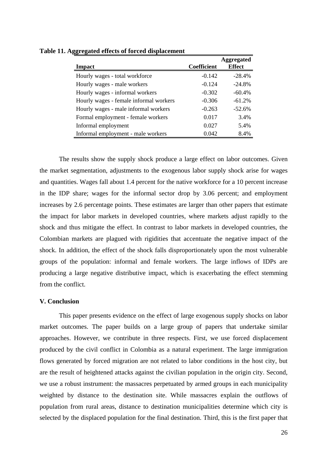|                                        |                    | <b>Aggregated</b> |
|----------------------------------------|--------------------|-------------------|
| <b>Impact</b>                          | <b>Coefficient</b> | <b>Effect</b>     |
| Hourly wages - total workforce         | $-0.142$           | $-28.4%$          |
| Hourly wages - male workers            | $-0.124$           | $-24.8%$          |
| Hourly wages - informal workers        | $-0.302$           | $-60.4%$          |
| Hourly wages - female informal workers | $-0.306$           | $-61.2%$          |
| Hourly wages - male informal workers   | $-0.263$           | $-52.6%$          |
| Formal employment - female workers     | 0.017              | 3.4%              |
| Informal employment                    | 0.027              | 5.4%              |
| Informal employment - male workers     | 0.042              | 8.4%              |

**Table 11. Aggregated effects of forced displacement** 

The results show the supply shock produce a large effect on labor outcomes. Given the market segmentation, adjustments to the exogenous labor supply shock arise for wages and quantities. Wages fall about 1.4 percent for the native workforce for a 10 percent increase in the IDP share; wages for the informal sector drop by 3.06 percent; and employment increases by 2.6 percentage points. These estimates are larger than other papers that estimate the impact for labor markets in developed countries, where markets adjust rapidly to the shock and thus mitigate the effect. In contrast to labor markets in developed countries, the Colombian markets are plagued with rigidities that accentuate the negative impact of the shock. In addition, the effect of the shock falls disproportionately upon the most vulnerable groups of the population: informal and female workers. The large inflows of IDPs are producing a large negative distributive impact, which is exacerbating the effect stemming from the conflict.

#### **V. Conclusion**

This paper presents evidence on the effect of large exogenous supply shocks on labor market outcomes. The paper builds on a large group of papers that undertake similar approaches. However, we contribute in three respects. First, we use forced displacement produced by the civil conflict in Colombia as a natural experiment. The large immigration flows generated by forced migration are not related to labor conditions in the host city, but are the result of heightened attacks against the civilian population in the origin city. Second, we use a robust instrument: the massacres perpetuated by armed groups in each municipality weighted by distance to the destination site. While massacres explain the outflows of population from rural areas, distance to destination municipalities determine which city is selected by the displaced population for the final destination. Third, this is the first paper that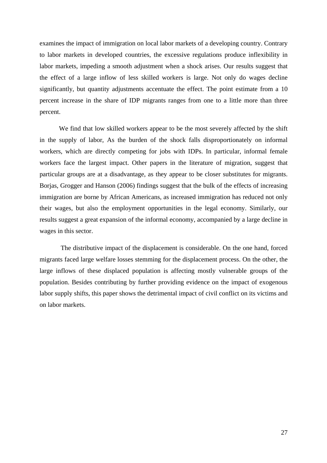examines the impact of immigration on local labor markets of a developing country. Contrary to labor markets in developed countries, the excessive regulations produce inflexibility in labor markets, impeding a smooth adjustment when a shock arises. Our results suggest that the effect of a large inflow of less skilled workers is large. Not only do wages decline significantly, but quantity adjustments accentuate the effect. The point estimate from a 10 percent increase in the share of IDP migrants ranges from one to a little more than three percent.

We find that low skilled workers appear to be the most severely affected by the shift in the supply of labor, As the burden of the shock falls disproportionately on informal workers, which are directly competing for jobs with IDPs. In particular, informal female workers face the largest impact. Other papers in the literature of migration, suggest that particular groups are at a disadvantage, as they appear to be closer substitutes for migrants. Borjas, Grogger and Hanson (2006) findings suggest that the bulk of the effects of increasing immigration are borne by African Americans, as increased immigration has reduced not only their wages, but also the employment opportunities in the legal economy. Similarly, our results suggest a great expansion of the informal economy, accompanied by a large decline in wages in this sector.

 The distributive impact of the displacement is considerable. On the one hand, forced migrants faced large welfare losses stemming for the displacement process. On the other, the large inflows of these displaced population is affecting mostly vulnerable groups of the population. Besides contributing by further providing evidence on the impact of exogenous labor supply shifts, this paper shows the detrimental impact of civil conflict on its victims and on labor markets.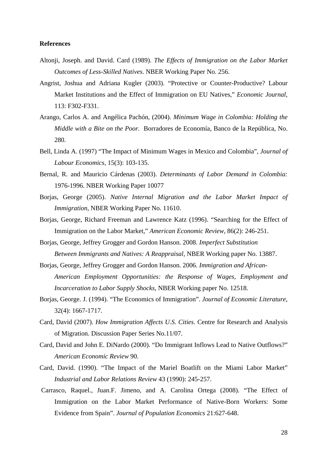#### **References**

- Altonji, Joseph. and David. Card (1989). *The Effects of Immigration on the Labor Market Outcomes of Less-Skilled Natives*. NBER Working Paper No. 256.
- Angrist, Joshua and Adriana Kugler (2003). "Protective or Counter-Productive? Labour Market Institutions and the Effect of Immigration on EU Natives," *Economic Journal*, 113: F302-F331.
- Arango, Carlos A. and Angélica Pachón, (2004). *Minimum Wage in Colombia: Holding the Middle with a Bite on the Poor.* Borradores de Economía, Banco de la República, No. 280.
- Bell, Linda A. (1997) "The Impact of Minimum Wages in Mexico and Colombia", *Journal of Labour Economics,* 15(3): 103-135.
- Bernal, R. and Mauricio Cárdenas (2003). *Determinants of Labor Demand in Colombia:*  1976-1996. NBER Working Paper 10077
- Borjas, George (2005). *Native Internal Migration and the Labor Market Impact of Immigration*, NBER Working Paper No. 11610.
- Borjas, George, Richard Freeman and Lawrence Katz (1996). "Searching for the Effect of Immigration on the Labor Market," *American Economic Review*, 86(2): 246-251.
- Borjas, George, Jeffrey Grogger and Gordon Hanson. 2008. *Imperfect Substitution Between Immigrants and Natives: A Reappraisal*, NBER Working paper No. 13887.
- Borjas, George, Jeffrey Grogger and Gordon Hanson. 2006. *Immigration and African- American Employment Opportunities: the Response of Wages, Employment and Incarceration to Labor Supply Shocks*, NBER Working paper No. 12518.
- Borjas, George. J. (1994). "The Economics of Immigration". *Journal of Economic Literature*, 32(4): 1667-1717.
- Card, David (2007). *How Immigration Affects U.S. Cities*. Centre for Research and Analysis of Migration. Discussion Paper Series No.11/07.
- Card, David and John E. DiNardo (2000). "Do Immigrant Inflows Lead to Native Outflows?" *American Economic Review* 90.
- Card, David. (1990). "The Impact of the Mariel Boatlift on the Miami Labor Market" *Industrial and Labor Relations Review* 43 (1990): 245-257.
- Carrasco, Raquel., Juan.F. Jimeno, and A. Carolina Ortega (2008). "The Effect of Immigration on the Labor Market Performance of Native-Born Workers: Some Evidence from Spain". *Journal of Population Economics* 21:627-648.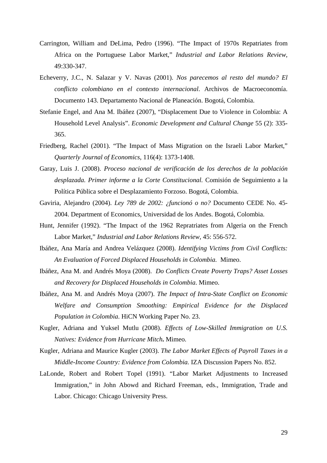- Carrington, William and DeLima, Pedro (1996). "The Impact of 1970s Repatriates from Africa on the Portuguese Labor Market," *Industrial and Labor Relations Review*, 49:330-347.
- Echeverry, J.C., N. Salazar y V. Navas (2001). *Nos parecemos al resto del mundo? El conflicto colombiano en el contexto internacional*. Archivos de Macroeconomía. Documento 143. Departamento Nacional de Planeación. Bogotá, Colombia.
- Stefanie Engel, and Ana M. Ibáñez (2007), "Displacement Due to Violence in Colombia: A Household Level Analysis". *Economic Development and Cultural Change* 55 (2): 335- 365.
- Friedberg, Rachel (2001). "The Impact of Mass Migration on the Israeli Labor Market," *Quarterly Journal of Economics*, 116(4): 1373-1408.
- Garay, Luis J. (2008). *Proceso nacional de verificación de los derechos de la población desplazada. Primer informe a la Corte Constitucional.* Comisión de Seguimiento a la Política Pública sobre el Desplazamiento Forzoso. Bogotá, Colombia.
- Gaviria, Alejandro (2004). *Ley 789 de 2002: ¿funcionó o no?* Documento CEDE No. 45- 2004. Department of Economics, Universidad de los Andes. Bogotá, Colombia.
- Hunt, Jennifer (1992). "The Impact of the 1962 Repratriates from Algeria on the French Labor Market," *Industrial and Labor Relations Review*, 45: 556-572.
- Ibáñez, Ana María and Andrea Velázquez (2008). *Identifying Victims from Civil Conflicts: An Evaluation of Forced Displaced Households in Colombia.* Mimeo.
- Ibáñez, Ana M. and Andrés Moya (2008). *Do Conflicts Create Poverty Traps? Asset Losses and Recovery for Displaced Households in Colombia*. Mimeo.
- Ibáñez, Ana M. and Andrés Moya (2007). *The Impact of Intra-State Conflict on Economic Welfare and Consumption Smoothing: Empirical Evidence for the Displaced Population in Colombia*. HiCN Working Paper No. 23.
- Kugler, Adriana and Yuksel Mutlu (2008). *Effects of Low-Skilled Immigration on U.S. Natives: Evidence from Hurricane Mitch***.** Mimeo.
- Kugler, Adriana and Maurice Kugler (2003). *The Labor Market Effects of Payroll Taxes in a Middle-Income Country: Evidence from Colombia.* IZA Discussion Papers No. 852.
- LaLonde, Robert and Robert Topel (1991). "Labor Market Adjustments to Increased Immigration," in John Abowd and Richard Freeman, eds., Immigration, Trade and Labor. Chicago: Chicago University Press.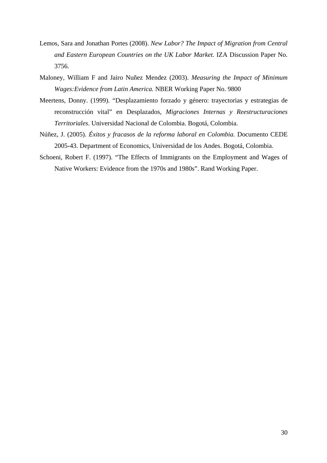- Lemos, Sara and Jonathan Portes (2008). *New Labor? The Impact of Migration from Central and Eastern European Countries on the UK Labor Market.* IZA Discussion Paper No. 3756.
- Maloney, William F and Jairo Nuñez Mendez (2003). *Measuring the Impact of Minimum Wages:Evidence from Latin America.* NBER Working Paper No. 9800
- Meertens, Donny. (1999). "Desplazamiento forzado y género: trayectorias y estrategias de reconstrucción vital" en Desplazados*, Migraciones Internas y Reestructuraciones Territoriales*. Universidad Nacional de Colombia. Bogotá, Colombia.
- Núñez, J. (2005). *Éxitos y fracasos de la reforma laboral en Colombia.* Documento CEDE 2005-43. Department of Economics, Universidad de los Andes. Bogotá, Colombia.
- Schoeni, Robert F. (1997). "The Effects of Immigrants on the Employment and Wages of Native Workers: Evidence from the 1970s and 1980s". Rand Working Paper.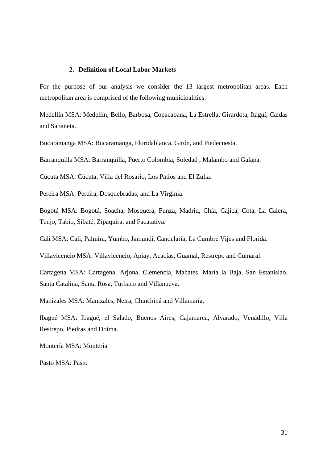#### **2. Definition of Local Labor Markets**

For the purpose of our analysis we consider the 13 largest metropolitan areas. Each metropolitan area is comprised of the following municipalities:

Medellín MSA: Medellín, Bello, Barbosa, Copacabana, La Estrella, Girardota, Itagüí, Caldas and Sabaneta.

Bucaramanga MSA: Bucaramanga, Floridablanca, Girón, and Piedecuesta.

Barranquilla MSA: Barranquilla, Puerto Colombia, Soledad , Malambo and Galapa.

Cúcuta MSA: Cúcuta, Villa del Rosario, Los Patios and El Zulia.

Pereira MSA: Pereira, Dosquebradas, and La Virginia.

Bogotá MSA: Bogotá, Soacha, Mosquera, Funza, Madrid, Chía, Cajicá, Cota, La Calera, Tenjo, Tabio, Sibaté, Zipaquira, and Facatativa.

Cali MSA: Cali, Palmira, Yumbo, Jamundí, Candelaria, La Cumbre Vijes and Florida.

Villavicencio MSA: Villavicencio, Apiay, Acacías, Guamal, Restrepo and Cumaral.

Cartagena MSA: Cartagena, Arjona, Clemencia, Mahates, María la Baja, San Estanislao, Santa Catalina, Santa Rosa, Turbaco and Villanueva.

Manizales MSA: Manizales, Neira, Chinchiná and Villamaría.

Ibagué MSA: Ibagué, el Salado, Buenos Aires, Cajamarca, Alvarado, Venadillo, Villa Restrepo, Piedras and Doima.

Montería MSA: Montería

Pasto MSA: Pasto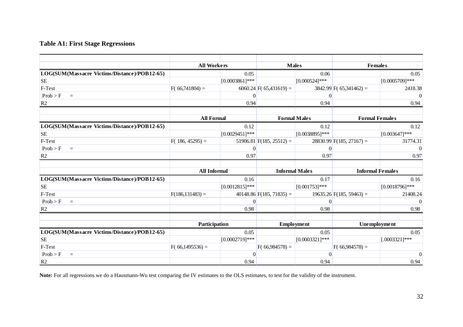#### **Table A1: First Stage Regressions**

|                                              | <b>All Workers</b>  |                   | <b>Males</b>               |                  | <b>Females</b>             |                   |
|----------------------------------------------|---------------------|-------------------|----------------------------|------------------|----------------------------|-------------------|
| LOG(SUM(Massacre Victims/Distance)/POB12-65) |                     | 0.05              |                            | 0.06             |                            | 0.05              |
| <b>SE</b>                                    |                     | $[0.0003861]$ *** |                            | $[0.000524]$ *** |                            | $[0.0005709]***$  |
| F-Test                                       | $F(66,741804) =$    |                   | $6060.24$ F(65,431619) =   |                  | $3842.99$ F(65,341462) =   | 2418.38           |
| Prob > F<br>$\equiv$                         |                     | $\Omega$          |                            | $\theta$         |                            | $\Omega$          |
| R <sub>2</sub>                               |                     | 0.94              |                            | 0.94             |                            | 0.94              |
|                                              |                     |                   |                            |                  |                            |                   |
|                                              | <b>All Formal</b>   |                   | <b>Formal Males</b>        |                  | <b>Formal Females</b>      |                   |
| LOG(SUM(Massacre Victims/Distance)/POB12-65) |                     | 0.12              |                            | 0.12             |                            | 0.12              |
| <b>SE</b>                                    |                     | $[0.0029451]$ *** |                            | [0.0038895]***   |                            | $[0.003647]***$   |
| F-Test                                       | $F(186, 45295) =$   |                   | $51906.81$ F(185, 25512) = |                  | $28830.99$ F(185, 27167) = | 31774.31          |
| Prob > F<br>$=$                              |                     | $\Omega$          |                            | $\mathbf{0}$     |                            | $\Omega$          |
| R <sub>2</sub>                               |                     | 0.97              |                            | 0.97             |                            | 0.97              |
|                                              |                     |                   |                            |                  |                            |                   |
|                                              | <b>All Informal</b> |                   | <b>Informal Males</b>      |                  | <b>Informal Females</b>    |                   |
| LOG(SUM(Massacre Victims/Distance)/POB12-65) |                     | 0.16              |                            | 0.17             |                            | 0.16              |
| <b>SE</b>                                    |                     | $[0.0012815]***$  |                            | $[0.001753]***$  |                            | $[0.0018796]$ *** |
| F-Test                                       | $F(186, 131483) =$  |                   | $40148.86$ F(185, 71835) = |                  | $19635.26$ F(185, 59463) = | 21408.24          |
| Prob > F<br>$=$                              |                     | 0                 |                            | $\mathbf{0}$     |                            | $\Omega$          |
| R <sub>2</sub>                               |                     | 0.98              |                            | 0.98             |                            | 0.98              |
|                                              |                     |                   |                            |                  |                            |                   |
|                                              | Participation       |                   | Employment                 |                  | Unemployment               |                   |
| LOG(SUM(Massacre Victims/Distance)/POB12-65) |                     | 0.05              |                            | 0.05             |                            | 0.05              |
| <b>SE</b>                                    |                     | $[0.0002719]$ *** |                            | $[0.0003321]***$ |                            | $[.0003321]$ ***  |
| F-Test                                       | $F(66,1495536) =$   |                   | $F(66,984578) =$           |                  | $F(66,984578) =$           |                   |
| Prob > F<br>$=$                              |                     | $\Omega$          |                            | $\theta$         |                            | $\Omega$          |
| R <sub>2</sub>                               |                     | 0.94              |                            | 0.94             |                            | 0.94              |

**Note:** For all regressions we do a Hausmann-Wu test comparing the IV estimates to the OLS estimates, to test for the validity of the instrument.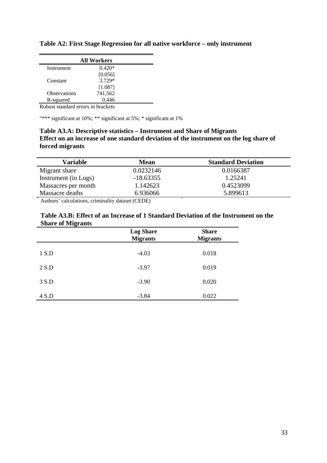| <b>All Workers</b>  |          |  |  |
|---------------------|----------|--|--|
| Instrument          | $0.420*$ |  |  |
|                     | [0.056]  |  |  |
| Constant            | 3.729*   |  |  |
|                     | [1.087]  |  |  |
| <b>Observations</b> | 741,562  |  |  |
| R-squared           | 0.446    |  |  |

**Table A2: First Stage Regression for all native workforce – only instrument** 

Robust standard errors in brackets

"\*\*\* significant at 10%; \*\* significant at 5%; \* significant at 1%

#### **Table A3.A: Descriptive statistics – Instrument and Share of Migrants Effect on an increase of one standard deviation of the instrument on the log share of forced migrants**

| <b>Variable</b>      | <b>Mean</b> | <b>Standard Deviation</b> |
|----------------------|-------------|---------------------------|
| Migrant share        | 0.0232146   | 0.0166387                 |
| Instrument (in Logs) | $-18.63355$ | 1.25241                   |
| Massacres per month  | 1.142623    | 0.4523099                 |
| Massacre deaths      | 6.936066    | 5.899613                  |

Authors' calculations, criminality dataset (CEDE)

| Table A3.B: Effect of an Increase of 1 Standard Deviation of the Instrument on the |  |
|------------------------------------------------------------------------------------|--|
| <b>Share of Migrants</b>                                                           |  |

|       | <b>Log Share</b><br><b>Migrants</b> | <b>Share</b><br><b>Migrants</b> |
|-------|-------------------------------------|---------------------------------|
| 1 S.D | $-4.03$                             | 0.018                           |
| 2 S.D | $-3.97$                             | 0.019                           |
| 3 S.D | $-3.90$                             | 0.020                           |
| 4 S.D | $-3.84$                             | 0.022                           |